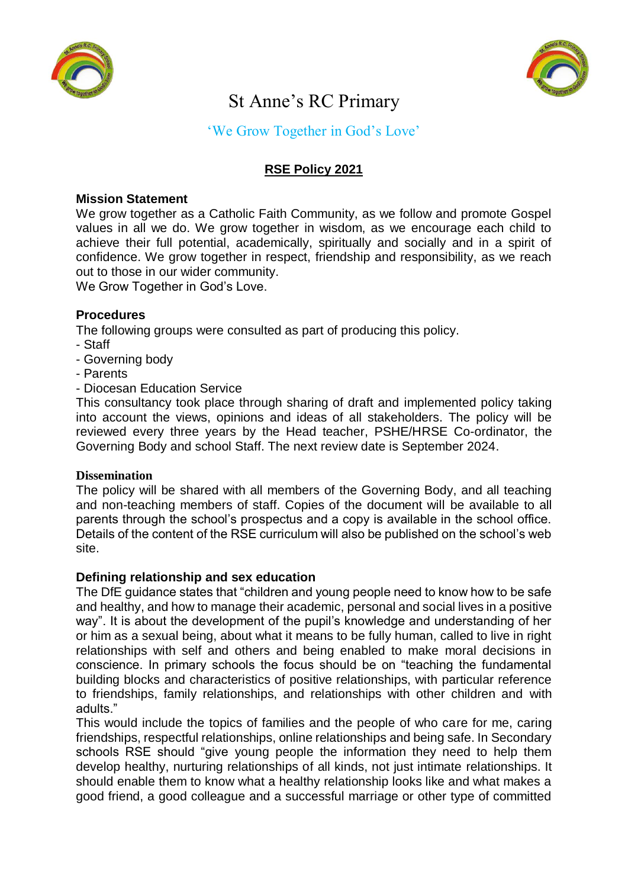



# St Anne's RC Primary

# 'We Grow Together in God's Love'

# **RSE Policy 2021**

## **Mission Statement**

We grow together as a Catholic Faith Community, as we follow and promote Gospel values in all we do. We grow together in wisdom, as we encourage each child to achieve their full potential, academically, spiritually and socially and in a spirit of confidence. We grow together in respect, friendship and responsibility, as we reach out to those in our wider community.

We Grow Together in God's Love.

#### **Procedures**

The following groups were consulted as part of producing this policy.

- Staff
- Governing body
- Parents
- Diocesan Education Service

This consultancy took place through sharing of draft and implemented policy taking into account the views, opinions and ideas of all stakeholders. The policy will be reviewed every three years by the Head teacher, PSHE/HRSE Co-ordinator, the Governing Body and school Staff. The next review date is September 2024.

#### **Dissemination**

The policy will be shared with all members of the Governing Body, and all teaching and non-teaching members of staff. Copies of the document will be available to all parents through the school's prospectus and a copy is available in the school office. Details of the content of the RSE curriculum will also be published on the school's web site.

#### **Defining relationship and sex education**

The DfE guidance states that "children and young people need to know how to be safe and healthy, and how to manage their academic, personal and social lives in a positive way". It is about the development of the pupil's knowledge and understanding of her or him as a sexual being, about what it means to be fully human, called to live in right relationships with self and others and being enabled to make moral decisions in conscience. In primary schools the focus should be on "teaching the fundamental building blocks and characteristics of positive relationships, with particular reference to friendships, family relationships, and relationships with other children and with adults."

This would include the topics of families and the people of who care for me, caring friendships, respectful relationships, online relationships and being safe. In Secondary schools RSE should "give young people the information they need to help them develop healthy, nurturing relationships of all kinds, not just intimate relationships. It should enable them to know what a healthy relationship looks like and what makes a good friend, a good colleague and a successful marriage or other type of committed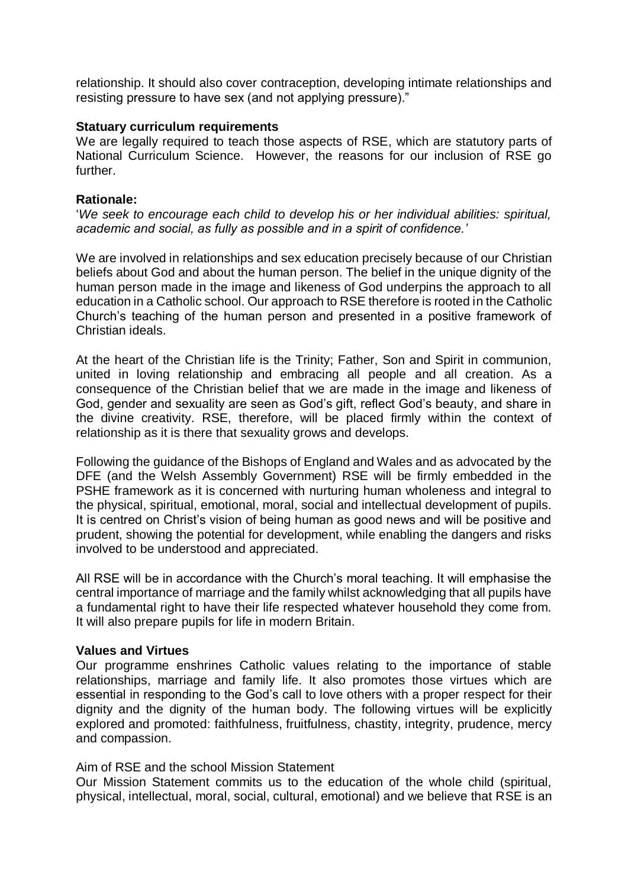relationship. It should also cover contraception, developing intimate relationships and resisting pressure to have sex (and not applying pressure)."

#### **Statuary curriculum requirements**

We are legally required to teach those aspects of RSE, which are statutory parts of National Curriculum Science. However, the reasons for our inclusion of RSE go further.

#### **Rationale:**

'*We seek to encourage each child to develop his or her individual abilities: spiritual, academic and social, as fully as possible and in a spirit of confidence.'* 

We are involved in relationships and sex education precisely because of our Christian beliefs about God and about the human person. The belief in the unique dignity of the human person made in the image and likeness of God underpins the approach to all education in a Catholic school. Our approach to RSE therefore is rooted in the Catholic Church's teaching of the human person and presented in a positive framework of Christian ideals.

At the heart of the Christian life is the Trinity; Father, Son and Spirit in communion, united in loving relationship and embracing all people and all creation. As a consequence of the Christian belief that we are made in the image and likeness of God, gender and sexuality are seen as God's gift, reflect God's beauty, and share in the divine creativity. RSE, therefore, will be placed firmly within the context of relationship as it is there that sexuality grows and develops.

Following the guidance of the Bishops of England and Wales and as advocated by the DFE (and the Welsh Assembly Government) RSE will be firmly embedded in the PSHE framework as it is concerned with nurturing human wholeness and integral to the physical, spiritual, emotional, moral, social and intellectual development of pupils. It is centred on Christ's vision of being human as good news and will be positive and prudent, showing the potential for development, while enabling the dangers and risks involved to be understood and appreciated.

All RSE will be in accordance with the Church's moral teaching. It will emphasise the central importance of marriage and the family whilst acknowledging that all pupils have a fundamental right to have their life respected whatever household they come from. It will also prepare pupils for life in modern Britain.

#### **Values and Virtues**

Our programme enshrines Catholic values relating to the importance of stable relationships, marriage and family life. It also promotes those virtues which are essential in responding to the God's call to love others with a proper respect for their dignity and the dignity of the human body. The following virtues will be explicitly explored and promoted: faithfulness, fruitfulness, chastity, integrity, prudence, mercy and compassion.

## Aim of RSE and the school Mission Statement

Our Mission Statement commits us to the education of the whole child (spiritual, physical, intellectual, moral, social, cultural, emotional) and we believe that RSE is an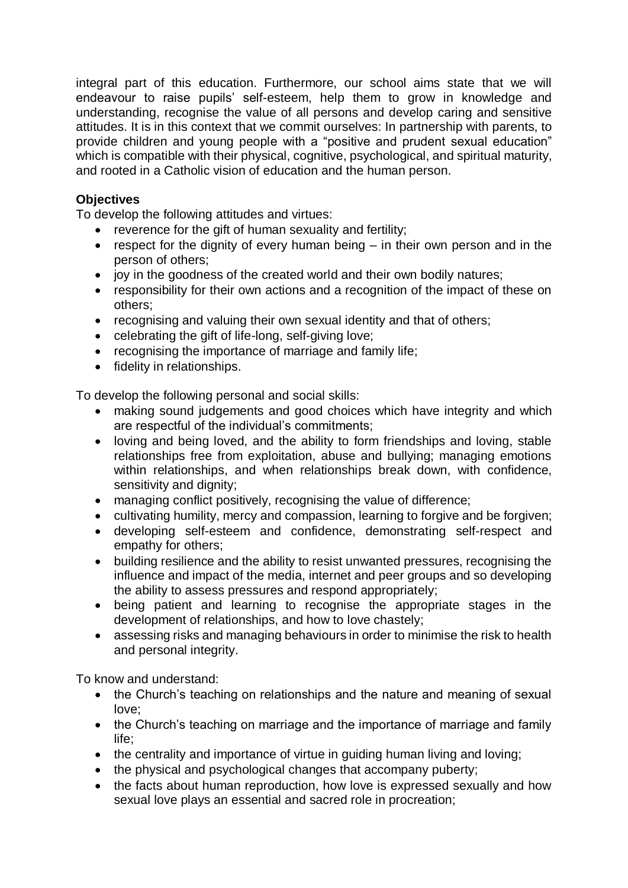integral part of this education. Furthermore, our school aims state that we will endeavour to raise pupils' self-esteem, help them to grow in knowledge and understanding, recognise the value of all persons and develop caring and sensitive attitudes. It is in this context that we commit ourselves: In partnership with parents, to provide children and young people with a "positive and prudent sexual education" which is compatible with their physical, cognitive, psychological, and spiritual maturity, and rooted in a Catholic vision of education and the human person.

# **Objectives**

To develop the following attitudes and virtues:

- reverence for the gift of human sexuality and fertility;
- **•** respect for the dignity of every human being  $-$  in their own person and in the person of others;
- joy in the goodness of the created world and their own bodily natures;
- responsibility for their own actions and a recognition of the impact of these on others;
- recognising and valuing their own sexual identity and that of others;
- celebrating the gift of life-long, self-giving love;
- recognising the importance of marriage and family life;
- fidelity in relationships.

To develop the following personal and social skills:

- making sound judgements and good choices which have integrity and which are respectful of the individual's commitments;
- loving and being loved, and the ability to form friendships and loving, stable relationships free from exploitation, abuse and bullying; managing emotions within relationships, and when relationships break down, with confidence, sensitivity and dignity;
- managing conflict positively, recognising the value of difference;
- cultivating humility, mercy and compassion, learning to forgive and be forgiven;
- developing self-esteem and confidence, demonstrating self-respect and empathy for others;
- building resilience and the ability to resist unwanted pressures, recognising the influence and impact of the media, internet and peer groups and so developing the ability to assess pressures and respond appropriately;
- being patient and learning to recognise the appropriate stages in the development of relationships, and how to love chastely;
- assessing risks and managing behaviours in order to minimise the risk to health and personal integrity.

To know and understand:

- the Church's teaching on relationships and the nature and meaning of sexual love;
- the Church's teaching on marriage and the importance of marriage and family life;
- the centrality and importance of virtue in guiding human living and loving;
- the physical and psychological changes that accompany puberty;
- the facts about human reproduction, how love is expressed sexually and how sexual love plays an essential and sacred role in procreation;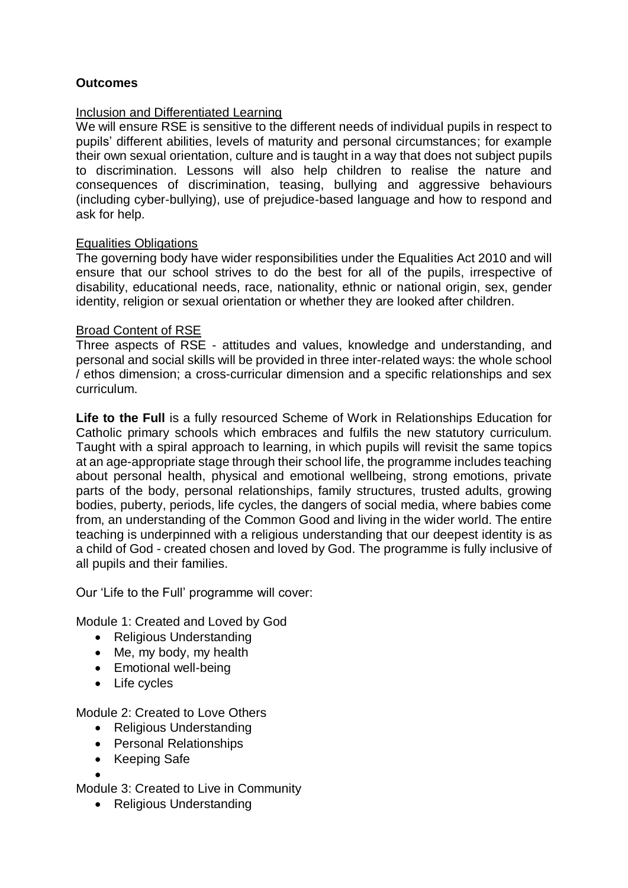## **Outcomes**

#### Inclusion and Differentiated Learning

We will ensure RSE is sensitive to the different needs of individual pupils in respect to pupils' different abilities, levels of maturity and personal circumstances; for example their own sexual orientation, culture and is taught in a way that does not subject pupils to discrimination. Lessons will also help children to realise the nature and consequences of discrimination, teasing, bullying and aggressive behaviours (including cyber-bullying), use of prejudice-based language and how to respond and ask for help.

#### Equalities Obligations

The governing body have wider responsibilities under the Equalities Act 2010 and will ensure that our school strives to do the best for all of the pupils, irrespective of disability, educational needs, race, nationality, ethnic or national origin, sex, gender identity, religion or sexual orientation or whether they are looked after children.

#### Broad Content of RSE

Three aspects of RSE - attitudes and values, knowledge and understanding, and personal and social skills will be provided in three inter-related ways: the whole school / ethos dimension; a cross-curricular dimension and a specific relationships and sex curriculum.

**Life to the Full** is a fully resourced Scheme of Work in Relationships Education for Catholic primary schools which embraces and fulfils the new statutory curriculum. Taught with a spiral approach to learning, in which pupils will revisit the same topics at an age-appropriate stage through their school life, the programme includes teaching about personal health, physical and emotional wellbeing, strong emotions, private parts of the body, personal relationships, family structures, trusted adults, growing bodies, puberty, periods, life cycles, the dangers of social media, where babies come from, an understanding of the Common Good and living in the wider world. The entire teaching is underpinned with a religious understanding that our deepest identity is as a child of God - created chosen and loved by God. The programme is fully inclusive of all pupils and their families.

Our 'Life to the Full' programme will cover:

Module 1: Created and Loved by God

- Religious Understanding
- Me, my body, my health
- Emotional well-being
- Life cycles

Module 2: Created to Love Others

- Religious Understanding
- Personal Relationships
- Keeping Safe

 $\bullet$ Module 3: Created to Live in Community

• Religious Understanding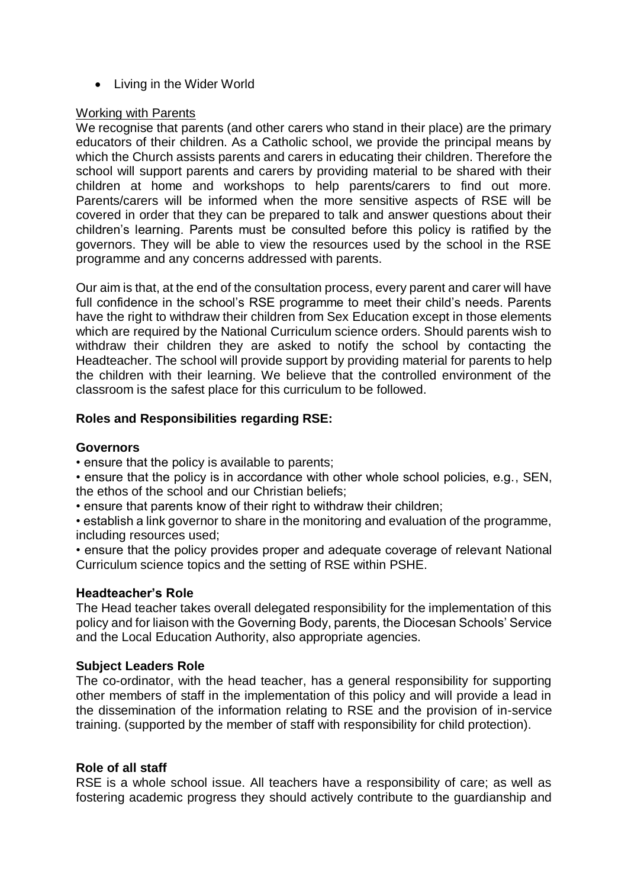• Living in the Wider World

## Working with Parents

We recognise that parents (and other carers who stand in their place) are the primary educators of their children. As a Catholic school, we provide the principal means by which the Church assists parents and carers in educating their children. Therefore the school will support parents and carers by providing material to be shared with their children at home and workshops to help parents/carers to find out more. Parents/carers will be informed when the more sensitive aspects of RSE will be covered in order that they can be prepared to talk and answer questions about their children's learning. Parents must be consulted before this policy is ratified by the governors. They will be able to view the resources used by the school in the RSE programme and any concerns addressed with parents.

Our aim is that, at the end of the consultation process, every parent and carer will have full confidence in the school's RSE programme to meet their child's needs. Parents have the right to withdraw their children from Sex Education except in those elements which are required by the National Curriculum science orders. Should parents wish to withdraw their children they are asked to notify the school by contacting the Headteacher. The school will provide support by providing material for parents to help the children with their learning. We believe that the controlled environment of the classroom is the safest place for this curriculum to be followed.

## **Roles and Responsibilities regarding RSE:**

#### **Governors**

• ensure that the policy is available to parents;

• ensure that the policy is in accordance with other whole school policies, e.g., SEN, the ethos of the school and our Christian beliefs;

• ensure that parents know of their right to withdraw their children;

• establish a link governor to share in the monitoring and evaluation of the programme, including resources used;

• ensure that the policy provides proper and adequate coverage of relevant National Curriculum science topics and the setting of RSE within PSHE.

## **Headteacher's Role**

The Head teacher takes overall delegated responsibility for the implementation of this policy and for liaison with the Governing Body, parents, the Diocesan Schools' Service and the Local Education Authority, also appropriate agencies.

## **Subject Leaders Role**

The co-ordinator, with the head teacher, has a general responsibility for supporting other members of staff in the implementation of this policy and will provide a lead in the dissemination of the information relating to RSE and the provision of in-service training. (supported by the member of staff with responsibility for child protection).

## **Role of all staff**

RSE is a whole school issue. All teachers have a responsibility of care; as well as fostering academic progress they should actively contribute to the guardianship and